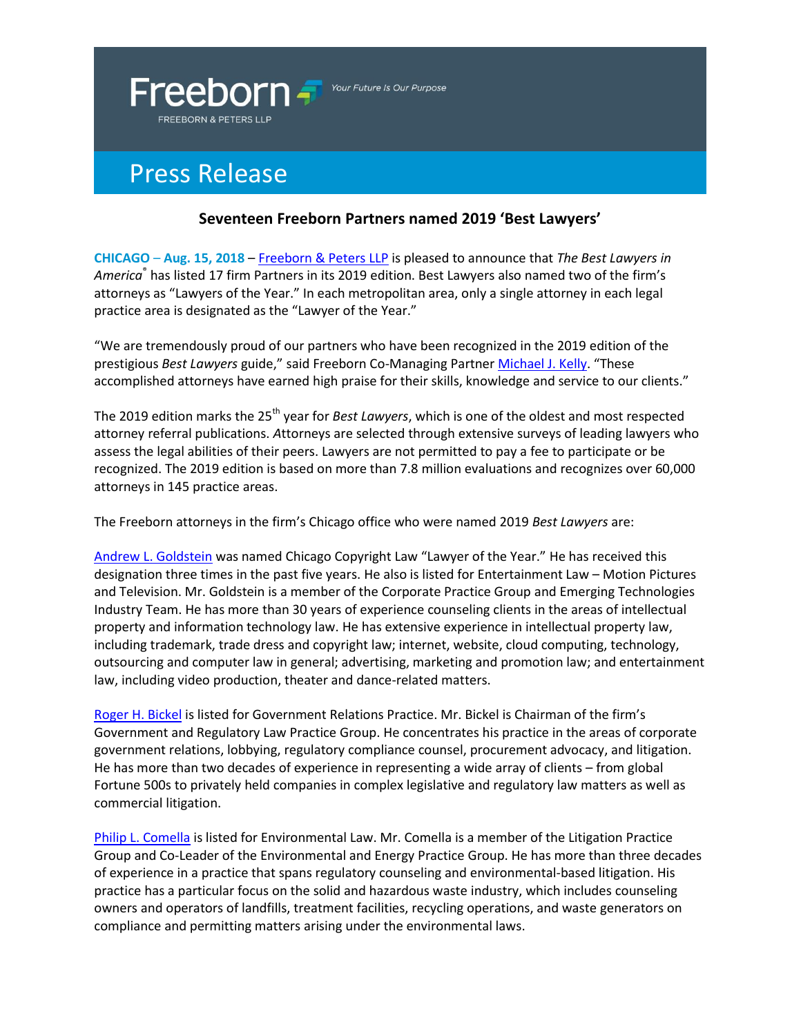

Your Future Is Our Purpose

## Press Release

## **Seventeen Freeborn Partners named 2019 'Best Lawyers'**

**CHICAGO** – **Aug. 15, 2018** – [Freeborn & Peters LLP](http://www.freeborn.com/) is pleased to announce that *The Best Lawyers in America*® has listed 17 firm Partners in its 2019 edition. Best Lawyers also named two of the firm's attorneys as "Lawyers of the Year." In each metropolitan area, only a single attorney in each legal practice area is designated as the "Lawyer of the Year."

"We are tremendously proud of our partners who have been recognized in the 2019 edition of the prestigious *Best Lawyers* guide," said Freeborn Co-Managing Partner [Michael J. Kelly](https://www.freeborn.com/attorney/michael-j-kelly). "These accomplished attorneys have earned high praise for their skills, knowledge and service to our clients."

The 2019 edition marks the 25<sup>th</sup> year for *Best Lawyers*, which is one of the oldest and most respected attorney referral publications. *A*ttorneys are selected through extensive surveys of leading lawyers who assess the legal abilities of their peers. Lawyers are not permitted to pay a fee to participate or be recognized. The 2019 edition is based on more than 7.8 million evaluations and recognizes over 60,000 attorneys in 145 practice areas.

The Freeborn attorneys in the firm's Chicago office who were named 2019 *Best Lawyers* are:

[Andrew L. Goldstein](http://www.freeborn.com/attorney/andrew-l-goldstein) was named Chicago Copyright Law "Lawyer of the Year." He has received this designation three times in the past five years. He also is listed for Entertainment Law – Motion Pictures and Television. Mr. Goldstein is a member of the Corporate Practice Group and Emerging Technologies Industry Team. He has more than 30 years of experience counseling clients in the areas of intellectual property and information technology law. He has extensive experience in intellectual property law, including trademark, trade dress and copyright law; internet, website, cloud computing, technology, outsourcing and computer law in general; advertising, marketing and promotion law; and entertainment law, including video production, theater and dance-related matters.

[Roger H. Bickel](http://www.freeborn.com/attorney/roger-h-bickel) is listed for Government Relations Practice. Mr. Bickel is Chairman of the firm's Government and Regulatory Law Practice Group. He concentrates his practice in the areas of corporate government relations, lobbying, regulatory compliance counsel, procurement advocacy, and litigation. He has more than two decades of experience in representing a wide array of clients – from global Fortune 500s to privately held companies in complex legislative and regulatory law matters as well as commercial litigation.

[Philip L. Comella](https://www.freeborn.com/attorney/philip-l-comella-0) is listed for Environmental Law. Mr. Comella is a member of the Litigation Practice Group and Co-Leader of the Environmental and Energy Practice Group. He has more than three decades of experience in a practice that spans regulatory counseling and environmental-based litigation. His practice has a particular focus on the solid and hazardous waste industry, which includes counseling owners and operators of landfills, treatment facilities, recycling operations, and waste generators on compliance and permitting matters arising under the environmental laws.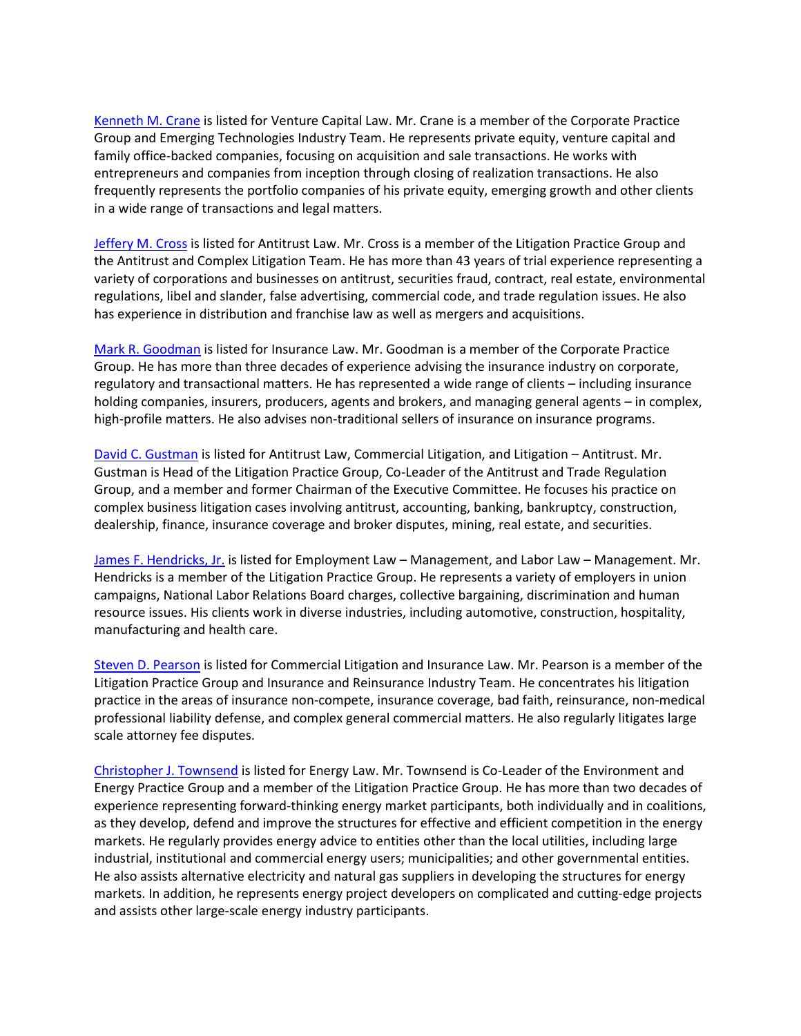[Kenneth M. Crane](https://www.freeborn.com/attorney/kenneth-m-crane) is listed for Venture Capital Law. Mr. Crane is a member of the Corporate Practice Group and Emerging Technologies Industry Team. He represents private equity, venture capital and family office-backed companies, focusing on acquisition and sale transactions. He works with entrepreneurs and companies from inception through closing of realization transactions. He also frequently represents the portfolio companies of his private equity, emerging growth and other clients in a wide range of transactions and legal matters.

[Jeffery M. Cross](http://www.freeborn.com/attorney/jeffery-m-cross) is listed for Antitrust Law. Mr. Cross is a member of the Litigation Practice Group and the Antitrust and Complex Litigation Team. He has more than 43 years of trial experience representing a variety of corporations and businesses on antitrust, securities fraud, contract, real estate, environmental regulations, libel and slander, false advertising, commercial code, and trade regulation issues. He also has experience in distribution and franchise law as well as mergers and acquisitions.

[Mark R. Goodman](http://www.freeborn.com/attorney/mark-r-goodman) is listed for Insurance Law. Mr. Goodman is a member of the Corporate Practice Group. He has more than three decades of experience advising the insurance industry on corporate, regulatory and transactional matters. He has represented a wide range of clients – including insurance holding companies, insurers, producers, agents and brokers, and managing general agents – in complex, high-profile matters. He also advises non-traditional sellers of insurance on insurance programs.

[David C. Gustman](http://www.freeborn.com/attorney/david-c-gustman) is listed for Antitrust Law, Commercial Litigation, and Litigation – Antitrust. Mr. Gustman is Head of the Litigation Practice Group, Co-Leader of the Antitrust and Trade Regulation Group, and a member and former Chairman of the Executive Committee. He focuses his practice on complex business litigation cases involving antitrust, accounting, banking, bankruptcy, construction, dealership, finance, insurance coverage and broker disputes, mining, real estate, and securities.

[James F. Hendricks, Jr.](https://www.freeborn.com/attorney/james-f-hendricks-jr) is listed for Employment Law – Management, and Labor Law – Management. Mr. Hendricks is a member of the Litigation Practice Group. He represents a variety of employers in union campaigns, National Labor Relations Board charges, collective bargaining, discrimination and human resource issues. His clients work in diverse industries, including automotive, construction, hospitality, manufacturing and health care.

[Steven D. Pearson](https://www.freeborn.com/attorney/steven-d-pearson) is listed for Commercial Litigation and Insurance Law. Mr. Pearson is a member of the Litigation Practice Group and Insurance and Reinsurance Industry Team. He concentrates his litigation practice in the areas of insurance non-compete, insurance coverage, bad faith, reinsurance, non-medical professional liability defense, and complex general commercial matters. He also regularly litigates large scale attorney fee disputes.

[Christopher J. Townsend](https://www.freeborn.com/attorney/christopher-j-townsend) is listed for Energy Law. Mr. Townsend is Co-Leader of the Environment and Energy Practice Group and a member of the Litigation Practice Group. He has more than two decades of experience representing forward-thinking energy market participants, both individually and in coalitions, as they develop, defend and improve the structures for effective and efficient competition in the energy markets. He regularly provides energy advice to entities other than the local utilities, including large industrial, institutional and commercial energy users; municipalities; and other governmental entities. He also assists alternative electricity and natural gas suppliers in developing the structures for energy markets. In addition, he represents energy project developers on complicated and cutting-edge projects and assists other large-scale energy industry participants.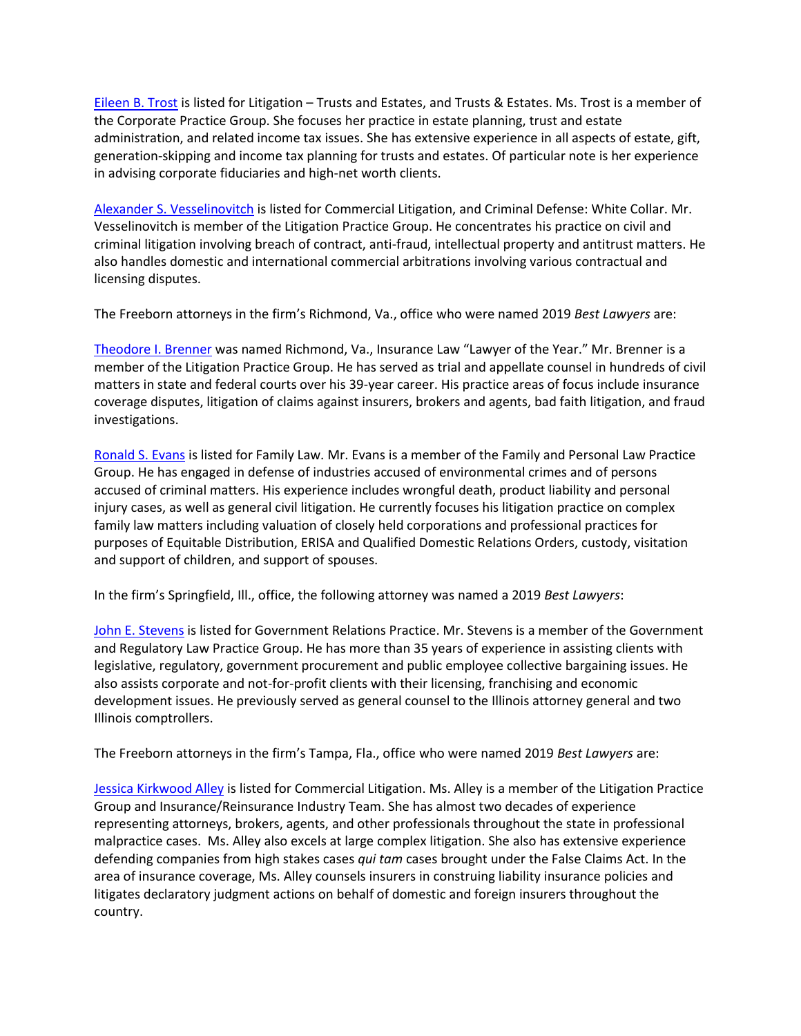[Eileen B. Trost](http://www.freeborn.com/attorney/eileen-b-trost) is listed for Litigation – Trusts and Estates, and Trusts & Estates. Ms. Trost is a member of the Corporate Practice Group. She focuses her practice in estate planning, trust and estate administration, and related income tax issues. She has extensive experience in all aspects of estate, gift, generation-skipping and income tax planning for trusts and estates. Of particular note is her experience in advising corporate fiduciaries and high-net worth clients.

[Alexander S. Vesselinovitch](http://www.freeborn.com/attorney/alexander-s-vesselinovitch) is listed for Commercial Litigation, and Criminal Defense: White Collar. Mr. Vesselinovitch is member of the Litigation Practice Group. He concentrates his practice on civil and criminal litigation involving breach of contract, anti-fraud, intellectual property and antitrust matters. He also handles domestic and international commercial arbitrations involving various contractual and licensing disputes.

The Freeborn attorneys in the firm's Richmond, Va., office who were named 2019 *Best Lawyers* are:

[Theodore I. Brenner](http://www.freeborn.com/attorney/theodore-i-brenner) was named Richmond, Va., Insurance Law "Lawyer of the Year." Mr. Brenner is a member of the Litigation Practice Group. He has served as trial and appellate counsel in hundreds of civil matters in state and federal courts over his 39-year career. His practice areas of focus include insurance coverage disputes, litigation of claims against insurers, brokers and agents, bad faith litigation, and fraud investigations.

[Ronald S. Evans](https://www.freeborn.com/attorney/ronald-s-evans) is listed for Family Law. Mr. Evans is a member of the Family and Personal Law Practice Group. He has engaged in defense of industries accused of environmental crimes and of persons accused of criminal matters. His experience includes wrongful death, product liability and personal injury cases, as well as general civil litigation. He currently focuses his litigation practice on complex family law matters including valuation of closely held corporations and professional practices for purposes of Equitable Distribution, ERISA and Qualified Domestic Relations Orders, custody, visitation and support of children, and support of spouses.

In the firm's Springfield, Ill., office, the following attorney was named a 2019 *Best Lawyers*:

[John E. Stevens](http://www.freeborn.com/attorney/john-e-stevens) is listed for Government Relations Practice. Mr. Stevens is a member of the Government and Regulatory Law Practice Group. He has more than 35 years of experience in assisting clients with legislative, regulatory, government procurement and public employee collective bargaining issues. He also assists corporate and not-for-profit clients with their licensing, franchising and economic development issues. He previously served as general counsel to the Illinois attorney general and two Illinois comptrollers.

The Freeborn attorneys in the firm's Tampa, Fla., office who were named 2019 *Best Lawyers* are:

[Jessica Kirkwood Alley](https://www.freeborn.com/attorney/jessica-kirkwood-alley) is listed for Commercial Litigation. Ms. Alley is a member of the Litigation Practice Group and Insurance/Reinsurance Industry Team. She has almost two decades of experience representing attorneys, brokers, agents, and other professionals throughout the state in professional malpractice cases. Ms. Alley also excels at large complex litigation. She also has extensive experience defending companies from high stakes cases *qui tam* cases brought under the False Claims Act. In the area of insurance coverage, Ms. Alley counsels insurers in construing liability insurance policies and litigates declaratory judgment actions on behalf of domestic and foreign insurers throughout the country.